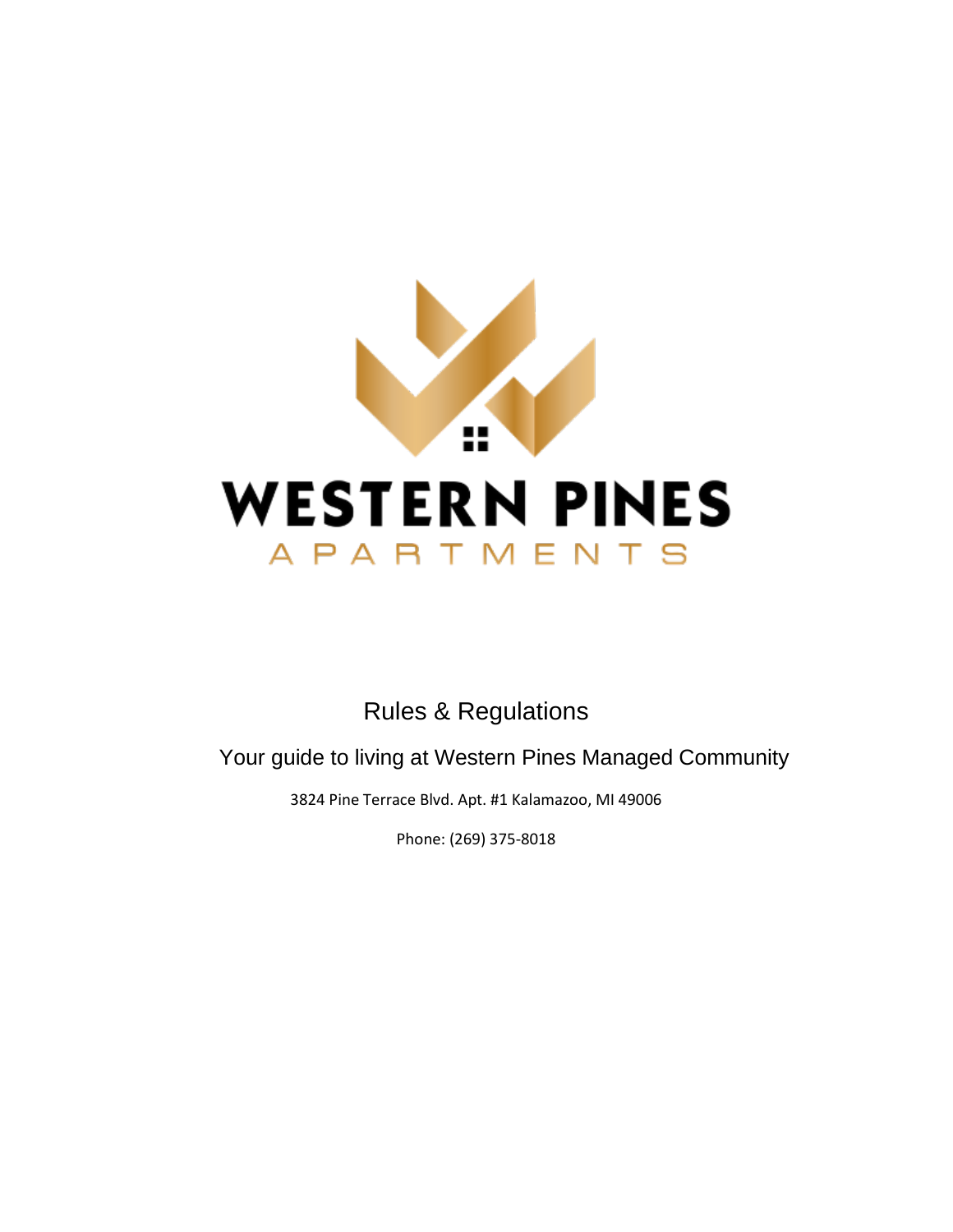

# Rules & Regulations

Your guide to living at Western Pines Managed Community

3824 Pine Terrace Blvd. Apt. #1 Kalamazoo, MI 49006

Phone: (269) 375-8018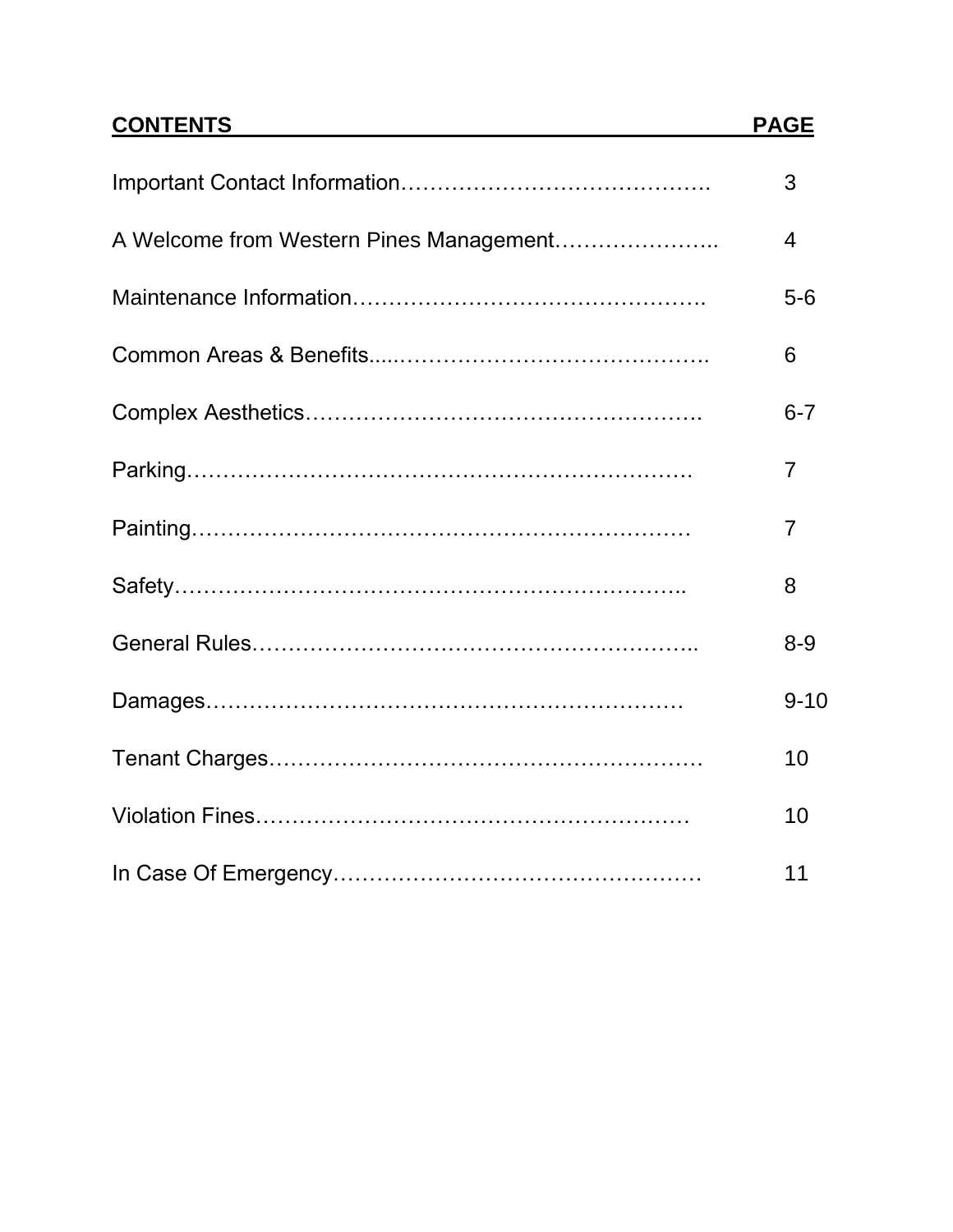# **CONTENTS PAGE**

|                                         | 3        |
|-----------------------------------------|----------|
| A Welcome from Western Pines Management | 4        |
|                                         | $5-6$    |
|                                         | 6        |
|                                         | $6 - 7$  |
|                                         | 7        |
|                                         | 7        |
|                                         | 8        |
|                                         | $8 - 9$  |
|                                         | $9 - 10$ |
|                                         | 10       |
|                                         | 10       |
|                                         | 11       |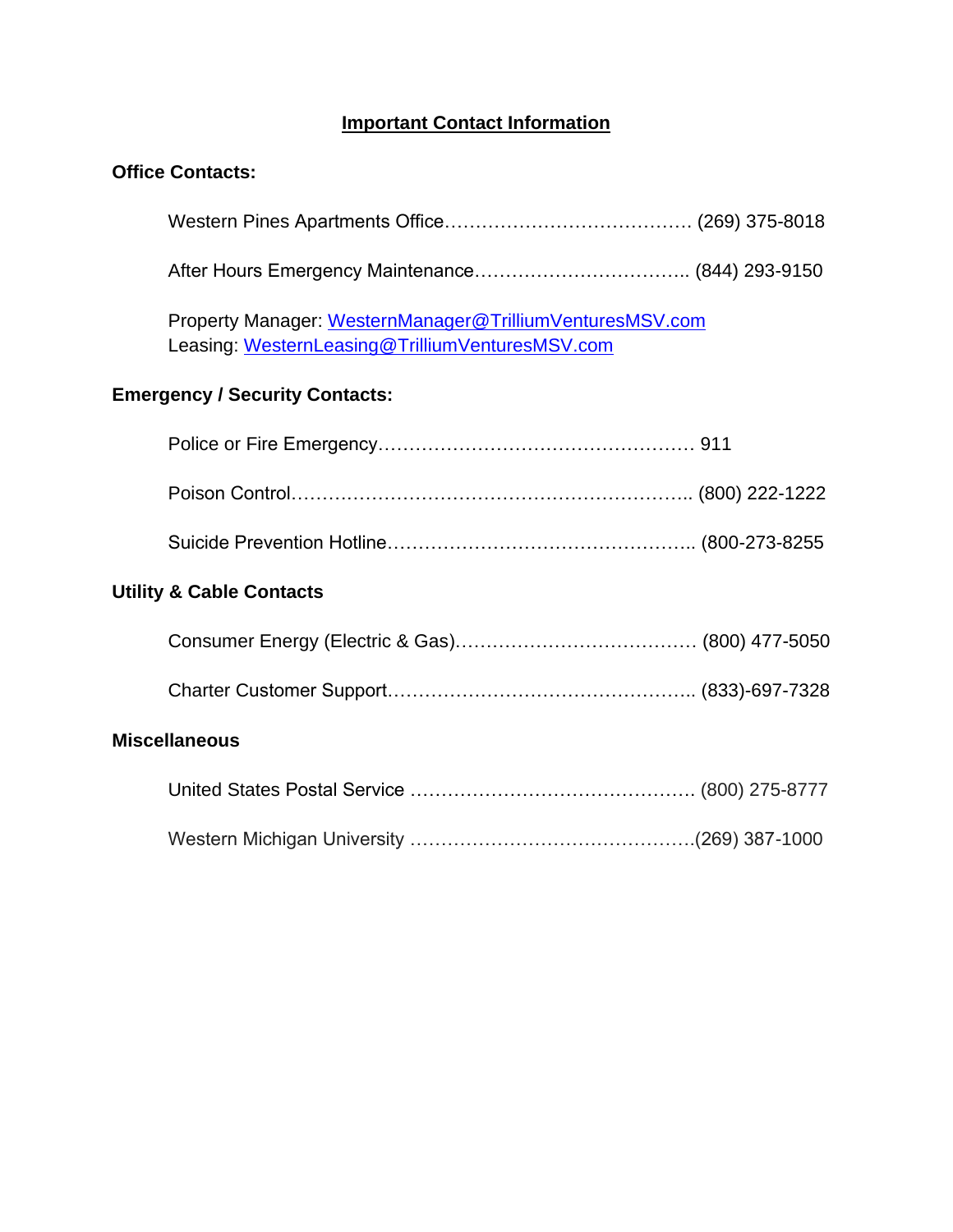### **Important Contact Information**

### **Office Contacts:**

Western Pines Apartments Office…………………………………. (269) 375-8018

After Hours Emergency Maintenance…………………………….. [\(844\) 293-9150](tel:1-844-293-9150)

Property Manager: [WesternManager@TrilliumVenturesMSV.com](mailto:WesternManager@TrilliumVenturesMSV.com) Leasing: [WesternLeasing@TrilliumVenturesMSV.com](mailto:WesternLeasing@TrilliumVenturesMSV.com)

### **Emergency / Security Contacts:**

|                      | <b>Utility &amp; Cable Contacts</b> |  |  |
|----------------------|-------------------------------------|--|--|
|                      |                                     |  |  |
|                      |                                     |  |  |
| <b>Miscellaneous</b> |                                     |  |  |
|                      |                                     |  |  |
|                      |                                     |  |  |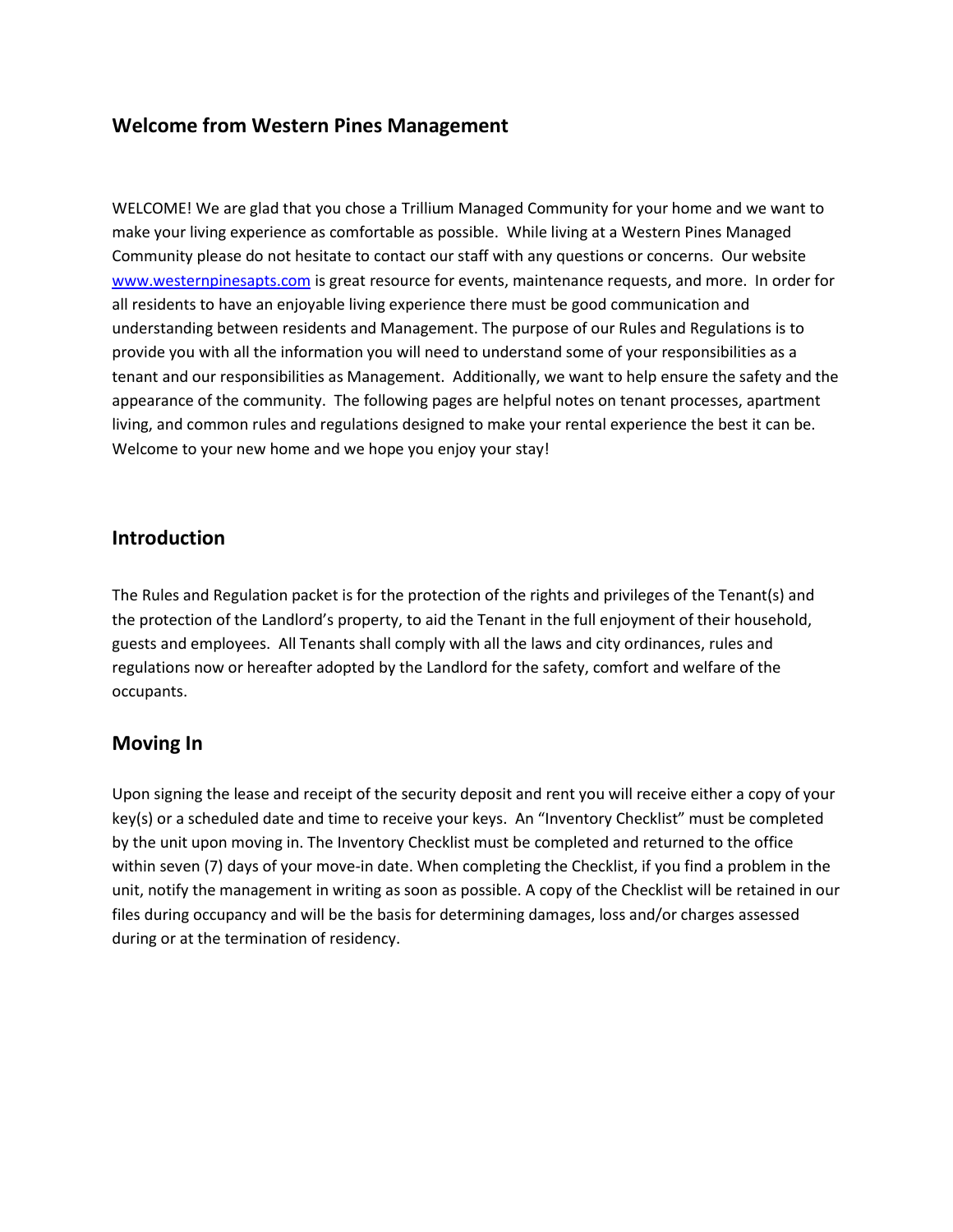### **Welcome from Western Pines Management**

WELCOME! We are glad that you chose a Trillium Managed Community for your home and we want to make your living experience as comfortable as possible. While living at a Western Pines Managed Community please do not hesitate to contact our staff with any questions or concerns. Our website [www.westernpinesapts.com](http://www.westernpinesapts.com/) is great resource for events, maintenance requests, and more. In order for all residents to have an enjoyable living experience there must be good communication and understanding between residents and Management. The purpose of our Rules and Regulations is to provide you with all the information you will need to understand some of your responsibilities as a tenant and our responsibilities as Management. Additionally, we want to help ensure the safety and the appearance of the community. The following pages are helpful notes on tenant processes, apartment living, and common rules and regulations designed to make your rental experience the best it can be. Welcome to your new home and we hope you enjoy your stay!

### **Introduction**

The Rules and Regulation packet is for the protection of the rights and privileges of the Tenant(s) and the protection of the Landlord's property, to aid the Tenant in the full enjoyment of their household, guests and employees. All Tenants shall comply with all the laws and city ordinances, rules and regulations now or hereafter adopted by the Landlord for the safety, comfort and welfare of the occupants.

### **Moving In**

Upon signing the lease and receipt of the security deposit and rent you will receive either a copy of your key(s) or a scheduled date and time to receive your keys. An "Inventory Checklist" must be completed by the unit upon moving in. The Inventory Checklist must be completed and returned to the office within seven (7) days of your move-in date. When completing the Checklist, if you find a problem in the unit, notify the management in writing as soon as possible. A copy of the Checklist will be retained in our files during occupancy and will be the basis for determining damages, loss and/or charges assessed during or at the termination of residency.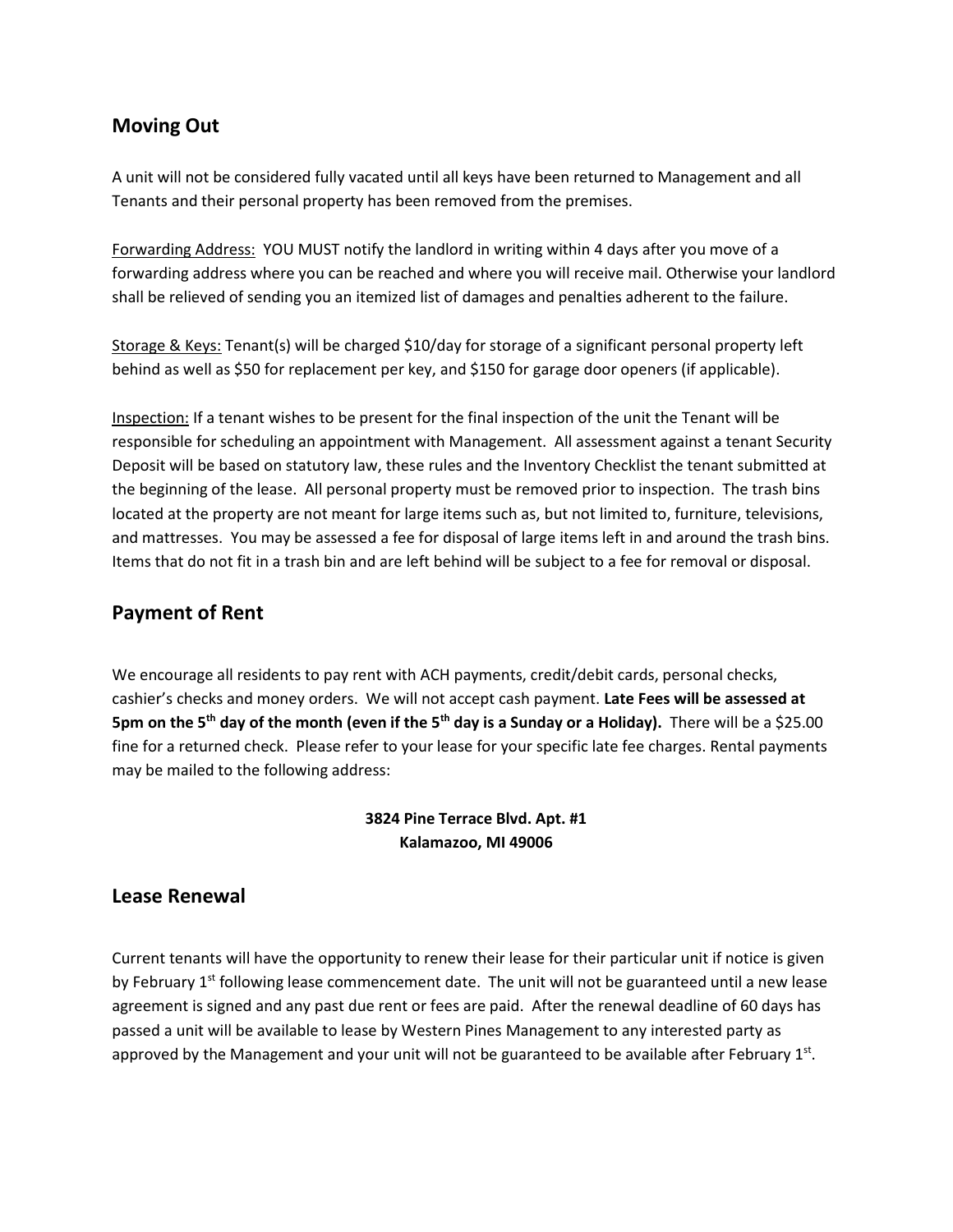### **Moving Out**

A unit will not be considered fully vacated until all keys have been returned to Management and all Tenants and their personal property has been removed from the premises.

Forwarding Address: YOU MUST notify the landlord in writing within 4 days after you move of a forwarding address where you can be reached and where you will receive mail. Otherwise your landlord shall be relieved of sending you an itemized list of damages and penalties adherent to the failure.

Storage & Keys: Tenant(s) will be charged \$10/day for storage of a significant personal property left behind as well as \$50 for replacement per key, and \$150 for garage door openers (if applicable).

Inspection: If a tenant wishes to be present for the final inspection of the unit the Tenant will be responsible for scheduling an appointment with Management. All assessment against a tenant Security Deposit will be based on statutory law, these rules and the Inventory Checklist the tenant submitted at the beginning of the lease. All personal property must be removed prior to inspection. The trash bins located at the property are not meant for large items such as, but not limited to, furniture, televisions, and mattresses. You may be assessed a fee for disposal of large items left in and around the trash bins. Items that do not fit in a trash bin and are left behind will be subject to a fee for removal or disposal.

### **Payment of Rent**

We encourage all residents to pay rent with ACH payments, credit/debit cards, personal checks, cashier's checks and money orders. We will not accept cash payment. **Late Fees will be assessed at 5pm on the 5th day of the month (even if the 5th day is a Sunday or a Holiday).** There will be a \$25.00 fine for a returned check. Please refer to your lease for your specific late fee charges. Rental payments may be mailed to the following address:

### **3824 Pine Terrace Blvd. Apt. #1 Kalamazoo, MI 49006**

### **Lease Renewal**

Current tenants will have the opportunity to renew their lease for their particular unit if notice is given by February  $1<sup>st</sup>$  following lease commencement date. The unit will not be guaranteed until a new lease agreement is signed and any past due rent or fees are paid. After the renewal deadline of 60 days has passed a unit will be available to lease by Western Pines Management to any interested party as approved by the Management and your unit will not be guaranteed to be available after February  $1<sup>st</sup>$ .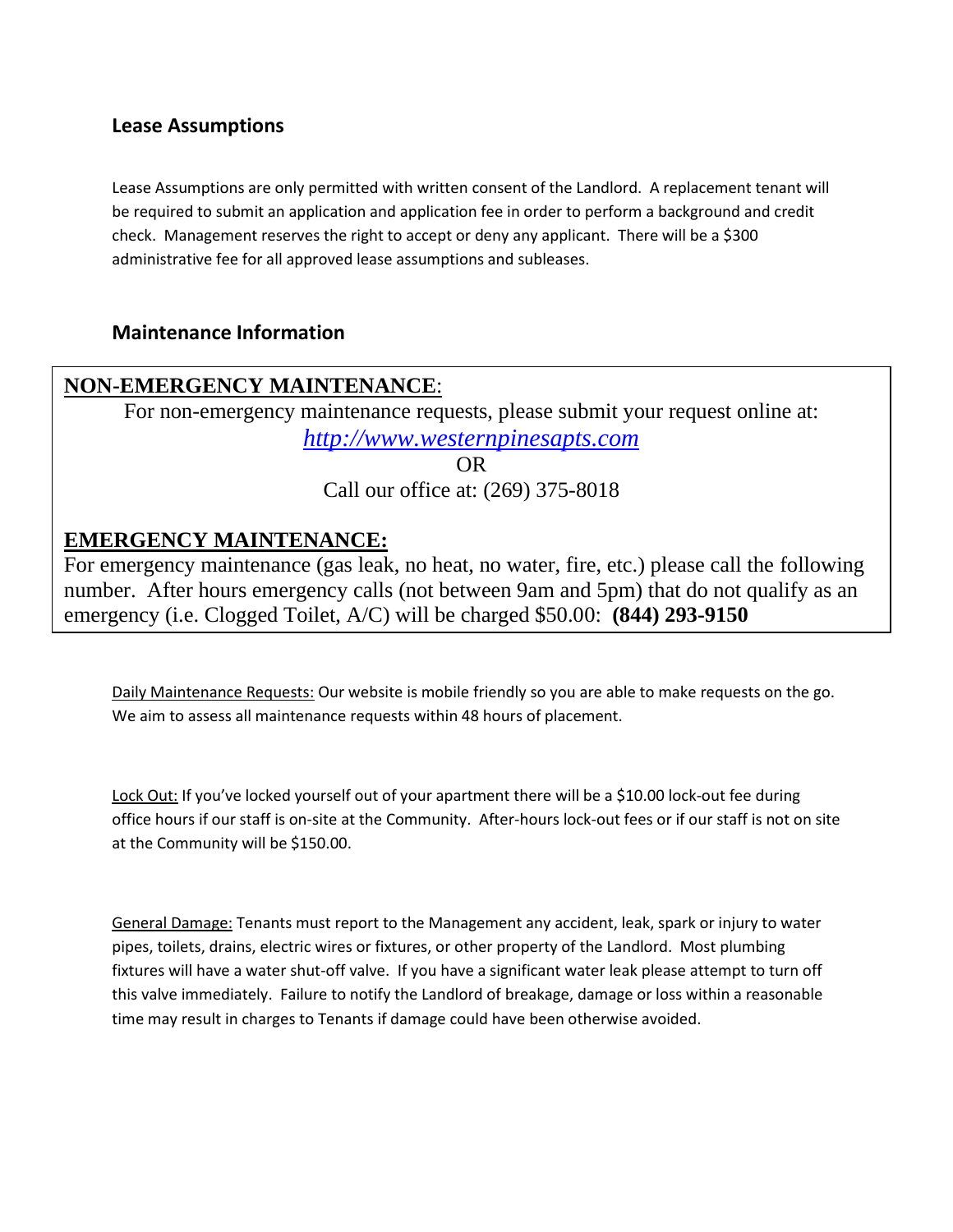### **Lease Assumptions**

Lease Assumptions are only permitted with written consent of the Landlord. A replacement tenant will be required to submit an application and application fee in order to perform a background and credit check. Management reserves the right to accept or deny any applicant. There will be a \$300 administrative fee for all approved lease assumptions and subleases.

### **Maintenance Information**

## **NON-EMERGENCY MAINTENANCE**:

For non-emergency maintenance requests, please submit your request online at: *[http://www.westernpinesapts.com](http://www.westernpinesapts.com/)*

> OR Call our office at: (269) 375-8018

## **EMERGENCY MAINTENANCE:**

For emergency maintenance (gas leak, no heat, no water, fire, etc.) please call the following number. After hours emergency calls (not between 9am and 5pm) that do not qualify as an emergency (i.e. Clogged Toilet, A/C) will be charged \$50.00: **(844) 293-9150**

Daily Maintenance Requests: Our website is mobile friendly so you are able to make requests on the go. We aim to assess all maintenance requests within 48 hours of placement.

Lock Out: If you've locked yourself out of your apartment there will be a \$10.00 lock-out fee during office hours if our staff is on-site at the Community. After-hours lock-out fees or if our staff is not on site at the Community will be \$150.00.

General Damage: Tenants must report to the Management any accident, leak, spark or injury to water pipes, toilets, drains, electric wires or fixtures, or other property of the Landlord. Most plumbing fixtures will have a water shut-off valve. If you have a significant water leak please attempt to turn off this valve immediately. Failure to notify the Landlord of breakage, damage or loss within a reasonable time may result in charges to Tenants if damage could have been otherwise avoided.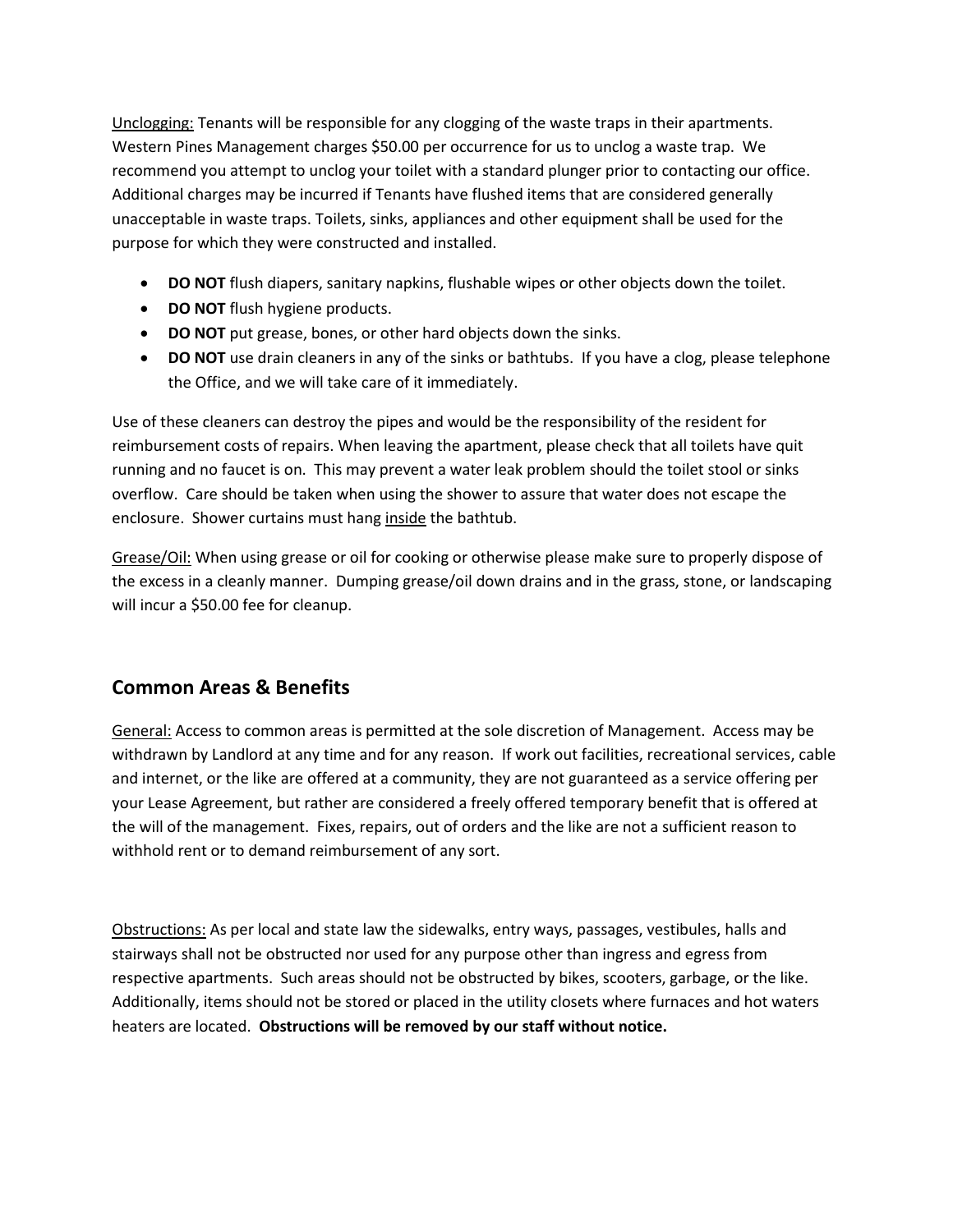Unclogging: Tenants will be responsible for any clogging of the waste traps in their apartments. Western Pines Management charges \$50.00 per occurrence for us to unclog a waste trap. We recommend you attempt to unclog your toilet with a standard plunger prior to contacting our office. Additional charges may be incurred if Tenants have flushed items that are considered generally unacceptable in waste traps. Toilets, sinks, appliances and other equipment shall be used for the purpose for which they were constructed and installed.

- **DO NOT** flush diapers, sanitary napkins, flushable wipes or other objects down the toilet.
- **DO NOT** flush hygiene products.
- **DO NOT** put grease, bones, or other hard objects down the sinks.
- **DO NOT** use drain cleaners in any of the sinks or bathtubs. If you have a clog, please telephone the Office, and we will take care of it immediately.

Use of these cleaners can destroy the pipes and would be the responsibility of the resident for reimbursement costs of repairs. When leaving the apartment, please check that all toilets have quit running and no faucet is on. This may prevent a water leak problem should the toilet stool or sinks overflow. Care should be taken when using the shower to assure that water does not escape the enclosure. Shower curtains must hang inside the bathtub.

Grease/Oil: When using grease or oil for cooking or otherwise please make sure to properly dispose of the excess in a cleanly manner. Dumping grease/oil down drains and in the grass, stone, or landscaping will incur a \$50.00 fee for cleanup.

## **Common Areas & Benefits**

General: Access to common areas is permitted at the sole discretion of Management. Access may be withdrawn by Landlord at any time and for any reason. If work out facilities, recreational services, cable and internet, or the like are offered at a community, they are not guaranteed as a service offering per your Lease Agreement, but rather are considered a freely offered temporary benefit that is offered at the will of the management. Fixes, repairs, out of orders and the like are not a sufficient reason to withhold rent or to demand reimbursement of any sort.

Obstructions: As per local and state law the sidewalks, entry ways, passages, vestibules, halls and stairways shall not be obstructed nor used for any purpose other than ingress and egress from respective apartments. Such areas should not be obstructed by bikes, scooters, garbage, or the like. Additionally, items should not be stored or placed in the utility closets where furnaces and hot waters heaters are located. **Obstructions will be removed by our staff without notice.**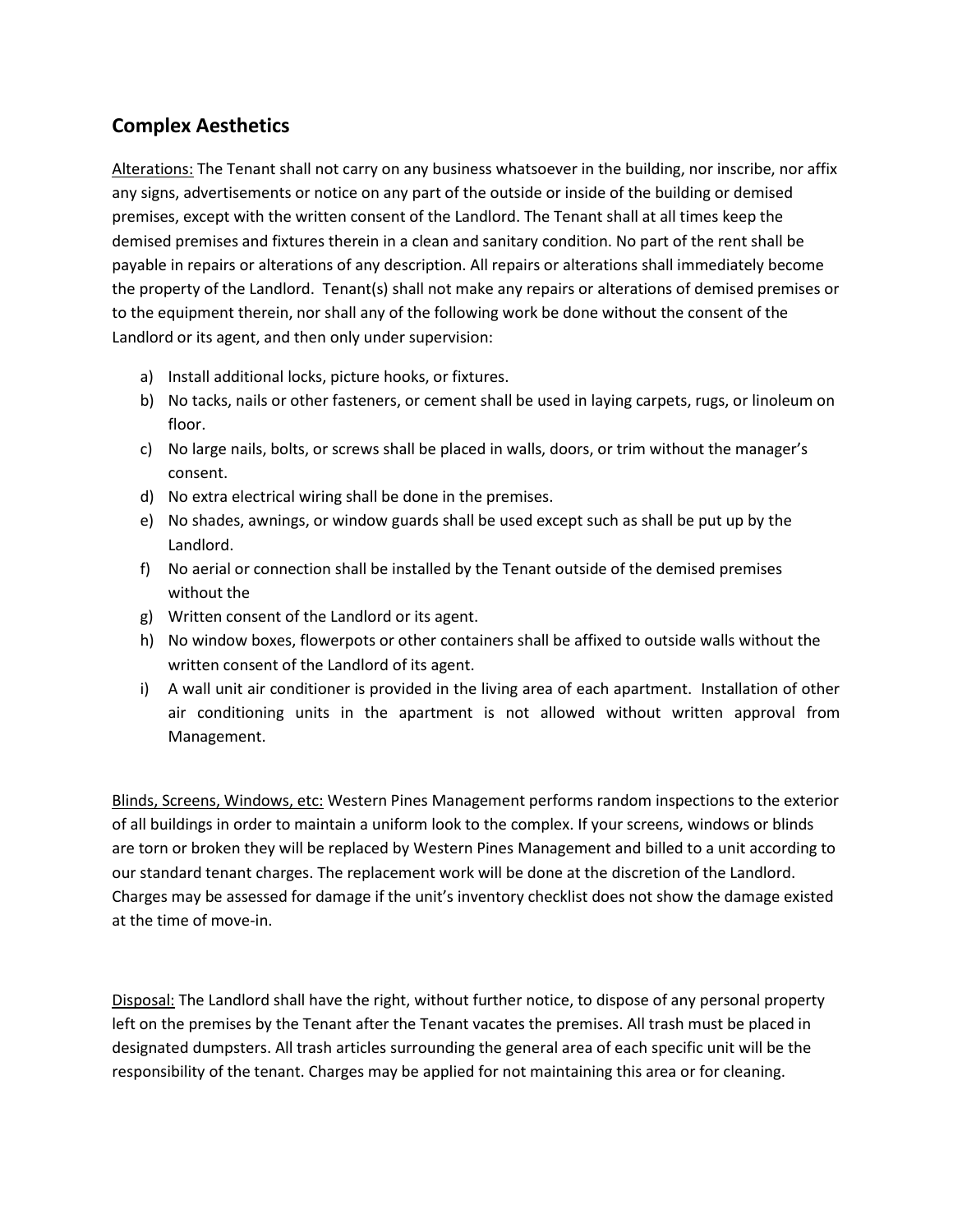### **Complex Aesthetics**

Alterations: The Tenant shall not carry on any business whatsoever in the building, nor inscribe, nor affix any signs, advertisements or notice on any part of the outside or inside of the building or demised premises, except with the written consent of the Landlord. The Tenant shall at all times keep the demised premises and fixtures therein in a clean and sanitary condition. No part of the rent shall be payable in repairs or alterations of any description. All repairs or alterations shall immediately become the property of the Landlord. Tenant(s) shall not make any repairs or alterations of demised premises or to the equipment therein, nor shall any of the following work be done without the consent of the Landlord or its agent, and then only under supervision:

- a) Install additional locks, picture hooks, or fixtures.
- b) No tacks, nails or other fasteners, or cement shall be used in laying carpets, rugs, or linoleum on floor.
- c) No large nails, bolts, or screws shall be placed in walls, doors, or trim without the manager's consent.
- d) No extra electrical wiring shall be done in the premises.
- e) No shades, awnings, or window guards shall be used except such as shall be put up by the Landlord.
- f) No aerial or connection shall be installed by the Tenant outside of the demised premises without the
- g) Written consent of the Landlord or its agent.
- h) No window boxes, flowerpots or other containers shall be affixed to outside walls without the written consent of the Landlord of its agent.
- i) A wall unit air conditioner is provided in the living area of each apartment. Installation of other air conditioning units in the apartment is not allowed without written approval from Management.

Blinds, Screens, Windows, etc: Western Pines Management performs random inspections to the exterior of all buildings in order to maintain a uniform look to the complex. If your screens, windows or blinds are torn or broken they will be replaced by Western Pines Management and billed to a unit according to our standard tenant charges. The replacement work will be done at the discretion of the Landlord. Charges may be assessed for damage if the unit's inventory checklist does not show the damage existed at the time of move-in.

Disposal: The Landlord shall have the right, without further notice, to dispose of any personal property left on the premises by the Tenant after the Tenant vacates the premises. All trash must be placed in designated dumpsters. All trash articles surrounding the general area of each specific unit will be the responsibility of the tenant. Charges may be applied for not maintaining this area or for cleaning.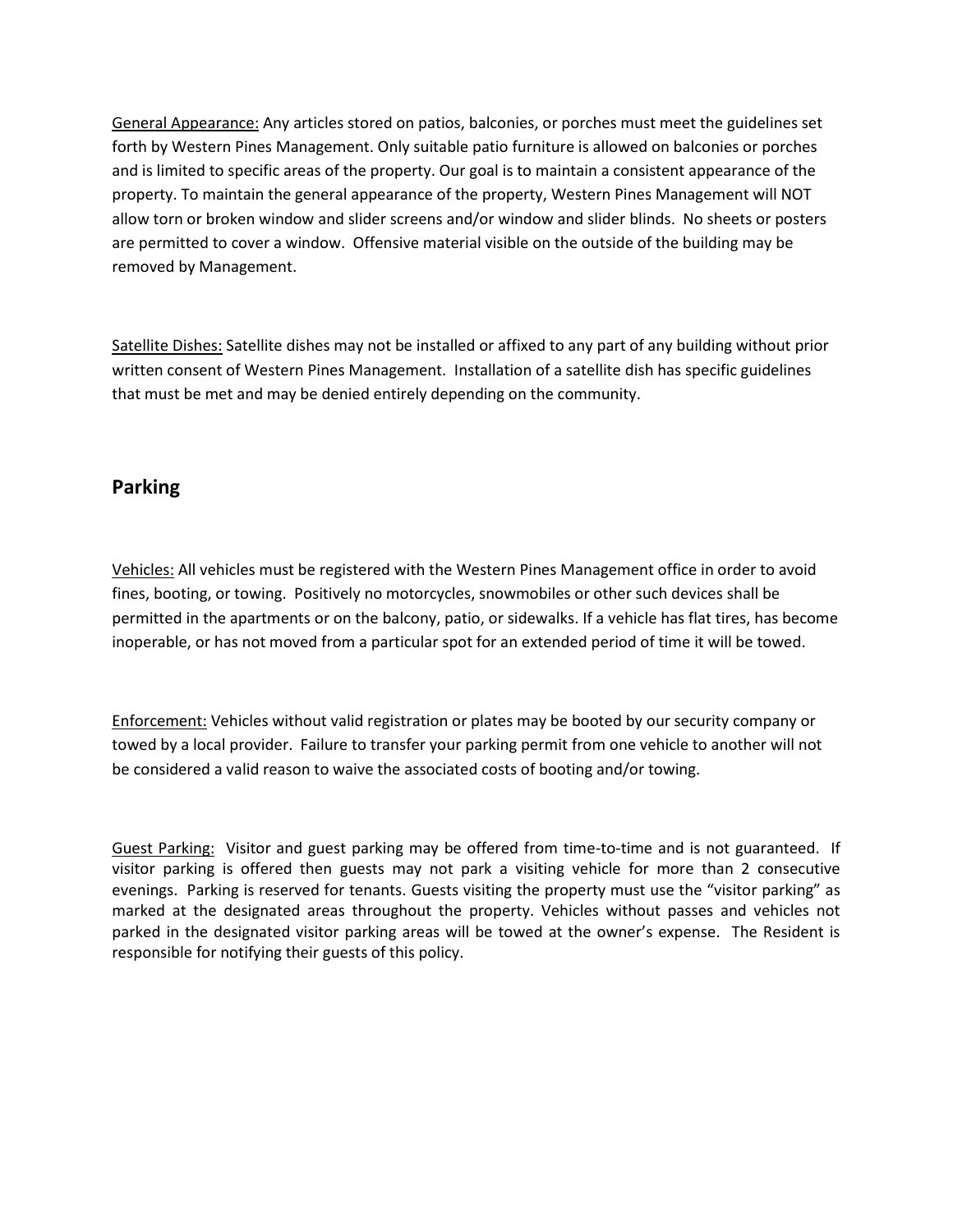General Appearance: Any articles stored on patios, balconies, or porches must meet the guidelines set forth by Western Pines Management. Only suitable patio furniture is allowed on balconies or porches and is limited to specific areas of the property. Our goal is to maintain a consistent appearance of the property. To maintain the general appearance of the property, Western Pines Management will NOT allow torn or broken window and slider screens and/or window and slider blinds. No sheets or posters are permitted to cover a window. Offensive material visible on the outside of the building may be removed by Management.

Satellite Dishes: Satellite dishes may not be installed or affixed to any part of any building without prior written consent of Western Pines Management. Installation of a satellite dish has specific guidelines that must be met and may be denied entirely depending on the community.

### **Parking**

Vehicles: All vehicles must be registered with the Western Pines Management office in order to avoid fines, booting, or towing. Positively no motorcycles, snowmobiles or other such devices shall be permitted in the apartments or on the balcony, patio, or sidewalks. If a vehicle has flat tires, has become inoperable, or has not moved from a particular spot for an extended period of time it will be towed.

Enforcement: Vehicles without valid registration or plates may be booted by our security company or towed by a local provider. Failure to transfer your parking permit from one vehicle to another will not be considered a valid reason to waive the associated costs of booting and/or towing.

Guest Parking: Visitor and guest parking may be offered from time-to-time and is not guaranteed. If visitor parking is offered then guests may not park a visiting vehicle for more than 2 consecutive evenings. Parking is reserved for tenants. Guests visiting the property must use the "visitor parking" as marked at the designated areas throughout the property. Vehicles without passes and vehicles not parked in the designated visitor parking areas will be towed at the owner's expense. The Resident is responsible for notifying their guests of this policy.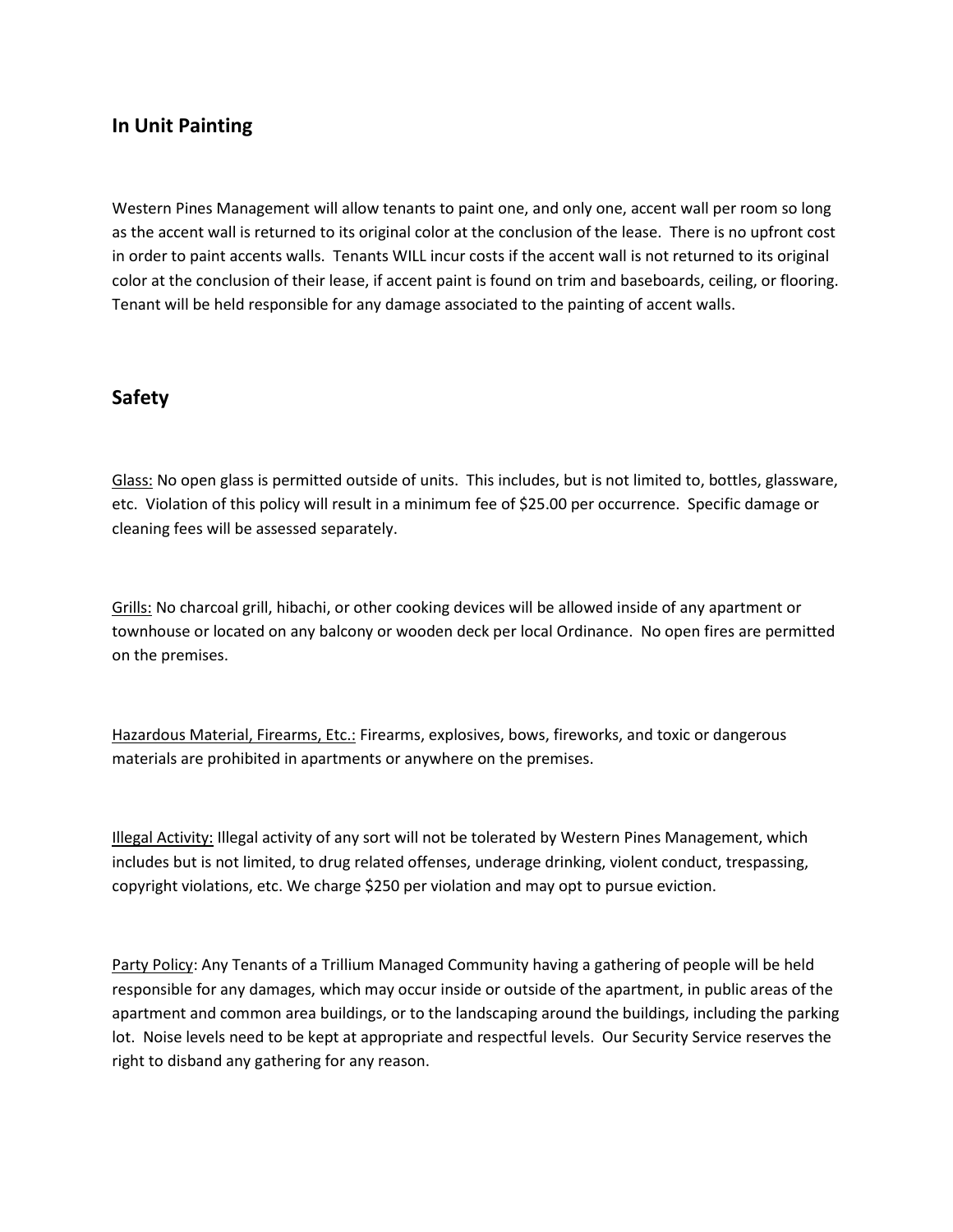### **In Unit Painting**

Western Pines Management will allow tenants to paint one, and only one, accent wall per room so long as the accent wall is returned to its original color at the conclusion of the lease. There is no upfront cost in order to paint accents walls. Tenants WILL incur costs if the accent wall is not returned to its original color at the conclusion of their lease, if accent paint is found on trim and baseboards, ceiling, or flooring. Tenant will be held responsible for any damage associated to the painting of accent walls.

#### **Safety**

Glass: No open glass is permitted outside of units. This includes, but is not limited to, bottles, glassware, etc. Violation of this policy will result in a minimum fee of \$25.00 per occurrence. Specific damage or cleaning fees will be assessed separately.

Grills: No charcoal grill, hibachi, or other cooking devices will be allowed inside of any apartment or townhouse or located on any balcony or wooden deck per local Ordinance. No open fires are permitted on the premises.

Hazardous Material, Firearms, Etc.: Firearms, explosives, bows, fireworks, and toxic or dangerous materials are prohibited in apartments or anywhere on the premises.

Illegal Activity: Illegal activity of any sort will not be tolerated by Western Pines Management, which includes but is not limited, to drug related offenses, underage drinking, violent conduct, trespassing, copyright violations, etc. We charge \$250 per violation and may opt to pursue eviction.

Party Policy: Any Tenants of a Trillium Managed Community having a gathering of people will be held responsible for any damages, which may occur inside or outside of the apartment, in public areas of the apartment and common area buildings, or to the landscaping around the buildings, including the parking lot. Noise levels need to be kept at appropriate and respectful levels. Our Security Service reserves the right to disband any gathering for any reason.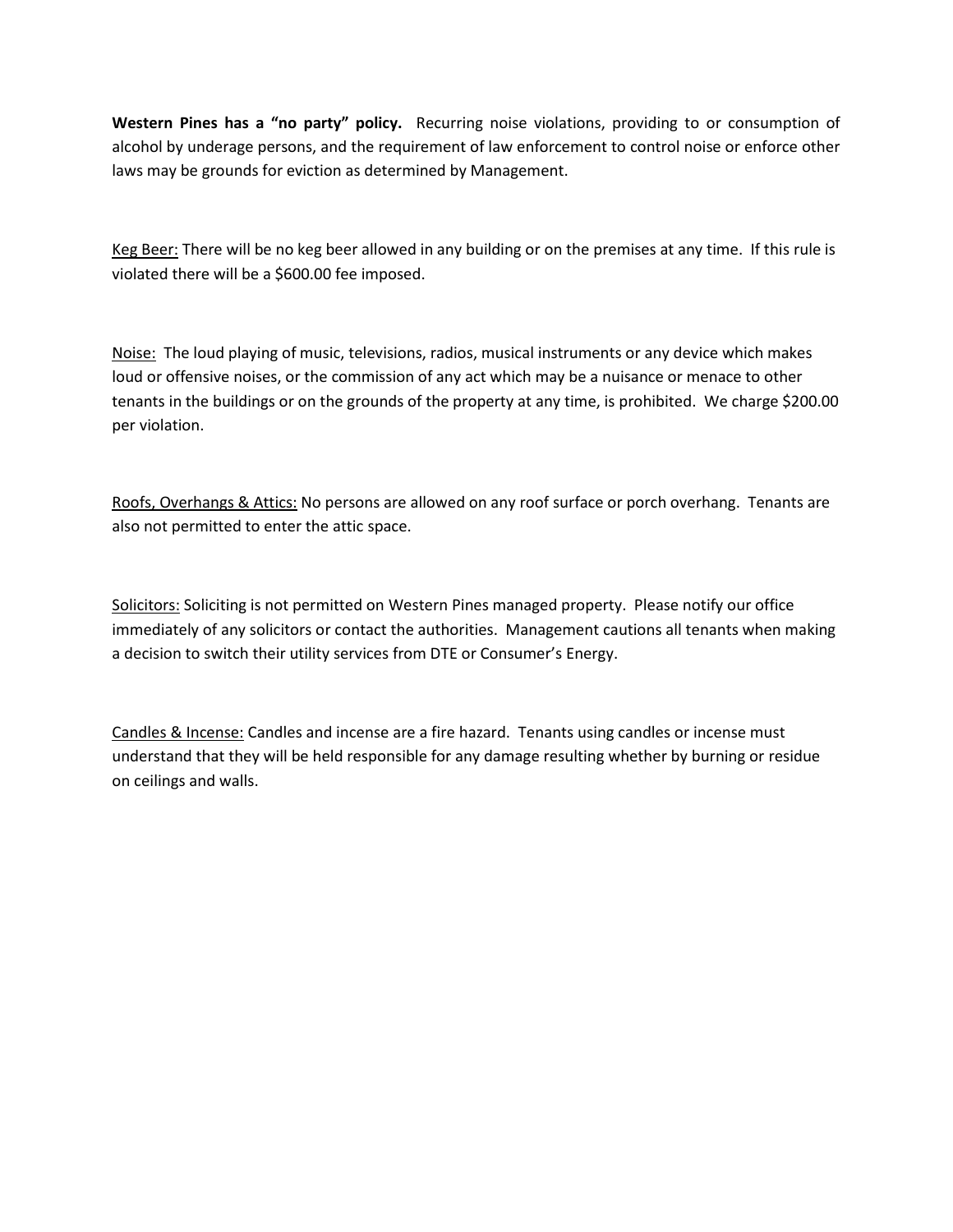**Western Pines has a "no party" policy.** Recurring noise violations, providing to or consumption of alcohol by underage persons, and the requirement of law enforcement to control noise or enforce other laws may be grounds for eviction as determined by Management.

Keg Beer: There will be no keg beer allowed in any building or on the premises at any time. If this rule is violated there will be a \$600.00 fee imposed.

Noise: The loud playing of music, televisions, radios, musical instruments or any device which makes loud or offensive noises, or the commission of any act which may be a nuisance or menace to other tenants in the buildings or on the grounds of the property at any time, is prohibited. We charge \$200.00 per violation.

Roofs, Overhangs & Attics: No persons are allowed on any roof surface or porch overhang. Tenants are also not permitted to enter the attic space.

Solicitors: Soliciting is not permitted on Western Pines managed property. Please notify our office immediately of any solicitors or contact the authorities. Management cautions all tenants when making a decision to switch their utility services from DTE or Consumer's Energy.

Candles & Incense: Candles and incense are a fire hazard. Tenants using candles or incense must understand that they will be held responsible for any damage resulting whether by burning or residue on ceilings and walls.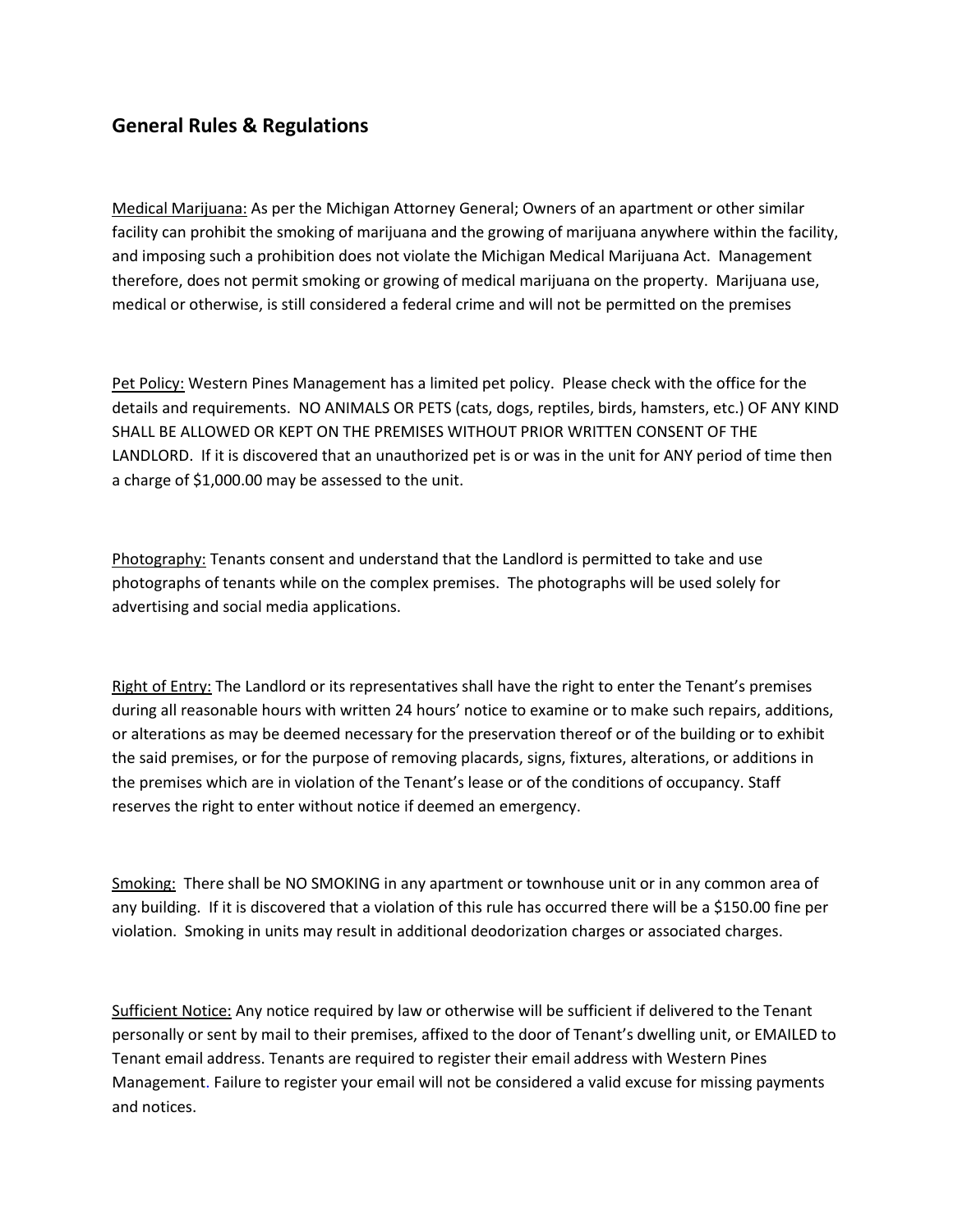### **General Rules & Regulations**

Medical Marijuana: As per the Michigan Attorney General; Owners of an apartment or other similar facility can prohibit the smoking of marijuana and the growing of marijuana anywhere within the facility, and imposing such a prohibition does not violate the Michigan Medical Marijuana Act. Management therefore, does not permit smoking or growing of medical marijuana on the property. Marijuana use, medical or otherwise, is still considered a federal crime and will not be permitted on the premises

Pet Policy: Western Pines Management has a limited pet policy. Please check with the office for the details and requirements. NO ANIMALS OR PETS (cats, dogs, reptiles, birds, hamsters, etc.) OF ANY KIND SHALL BE ALLOWED OR KEPT ON THE PREMISES WITHOUT PRIOR WRITTEN CONSENT OF THE LANDLORD. If it is discovered that an unauthorized pet is or was in the unit for ANY period of time then a charge of \$1,000.00 may be assessed to the unit.

Photography: Tenants consent and understand that the Landlord is permitted to take and use photographs of tenants while on the complex premises. The photographs will be used solely for advertising and social media applications.

Right of Entry: The Landlord or its representatives shall have the right to enter the Tenant's premises during all reasonable hours with written 24 hours' notice to examine or to make such repairs, additions, or alterations as may be deemed necessary for the preservation thereof or of the building or to exhibit the said premises, or for the purpose of removing placards, signs, fixtures, alterations, or additions in the premises which are in violation of the Tenant's lease or of the conditions of occupancy. Staff reserves the right to enter without notice if deemed an emergency.

Smoking: There shall be NO SMOKING in any apartment or townhouse unit or in any common area of any building. If it is discovered that a violation of this rule has occurred there will be a \$150.00 fine per violation. Smoking in units may result in additional deodorization charges or associated charges.

Sufficient Notice: Any notice required by law or otherwise will be sufficient if delivered to the Tenant personally or sent by mail to their premises, affixed to the door of Tenant's dwelling unit, or EMAILED to Tenant email address. Tenants are required to register their email address with Western Pines Management. Failure to register your email will not be considered a valid excuse for missing payments and notices.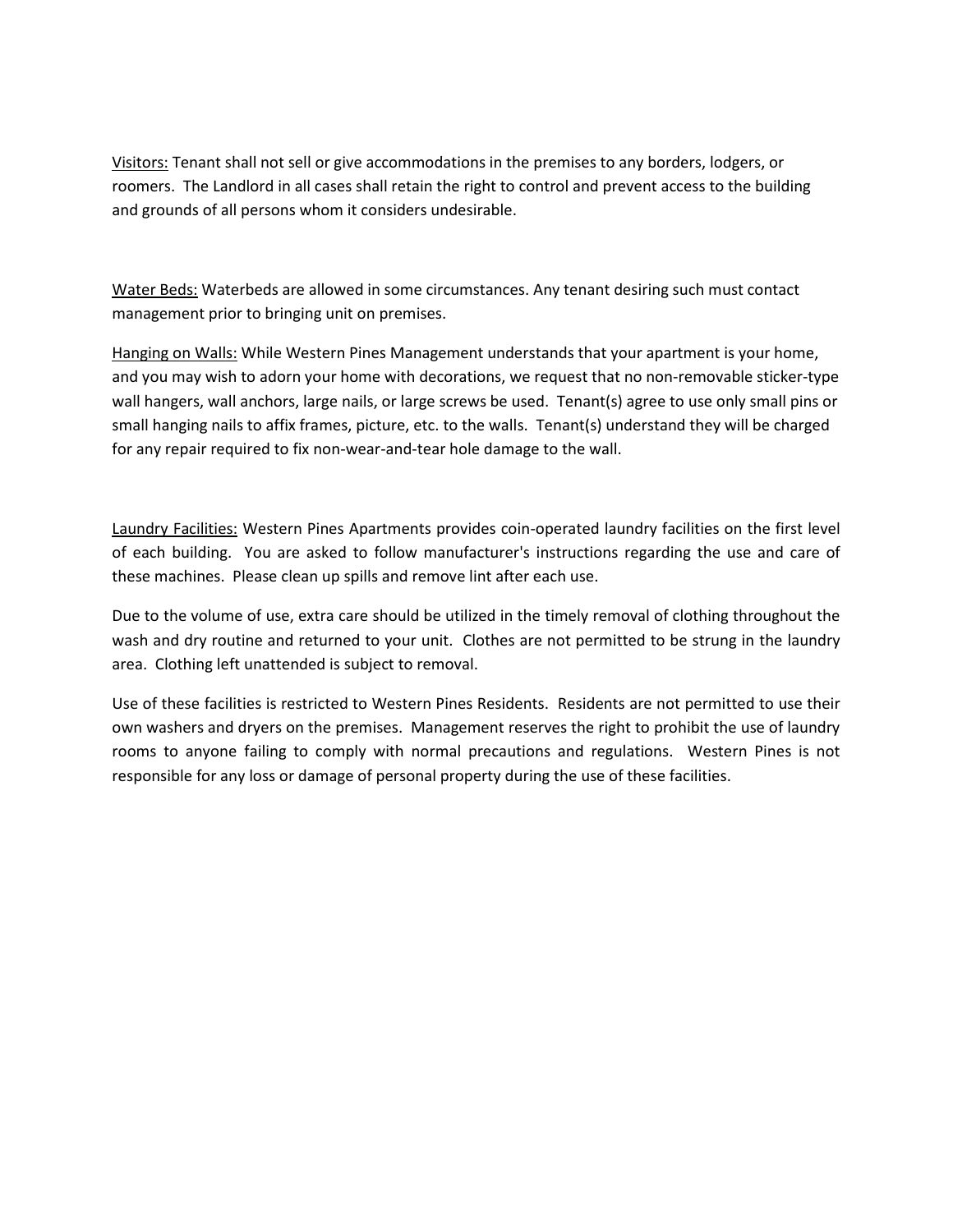Visitors: Tenant shall not sell or give accommodations in the premises to any borders, lodgers, or roomers. The Landlord in all cases shall retain the right to control and prevent access to the building and grounds of all persons whom it considers undesirable.

Water Beds: Waterbeds are allowed in some circumstances. Any tenant desiring such must contact management prior to bringing unit on premises.

Hanging on Walls: While Western Pines Management understands that your apartment is your home, and you may wish to adorn your home with decorations, we request that no non-removable sticker-type wall hangers, wall anchors, large nails, or large screws be used. Tenant(s) agree to use only small pins or small hanging nails to affix frames, picture, etc. to the walls. Tenant(s) understand they will be charged for any repair required to fix non-wear-and-tear hole damage to the wall.

Laundry Facilities: Western Pines Apartments provides coin-operated laundry facilities on the first level of each building. You are asked to follow manufacturer's instructions regarding the use and care of these machines. Please clean up spills and remove lint after each use.

Due to the volume of use, extra care should be utilized in the timely removal of clothing throughout the wash and dry routine and returned to your unit. Clothes are not permitted to be strung in the laundry area. Clothing left unattended is subject to removal.

Use of these facilities is restricted to Western Pines Residents. Residents are not permitted to use their own washers and dryers on the premises. Management reserves the right to prohibit the use of laundry rooms to anyone failing to comply with normal precautions and regulations. Western Pines is not responsible for any loss or damage of personal property during the use of these facilities.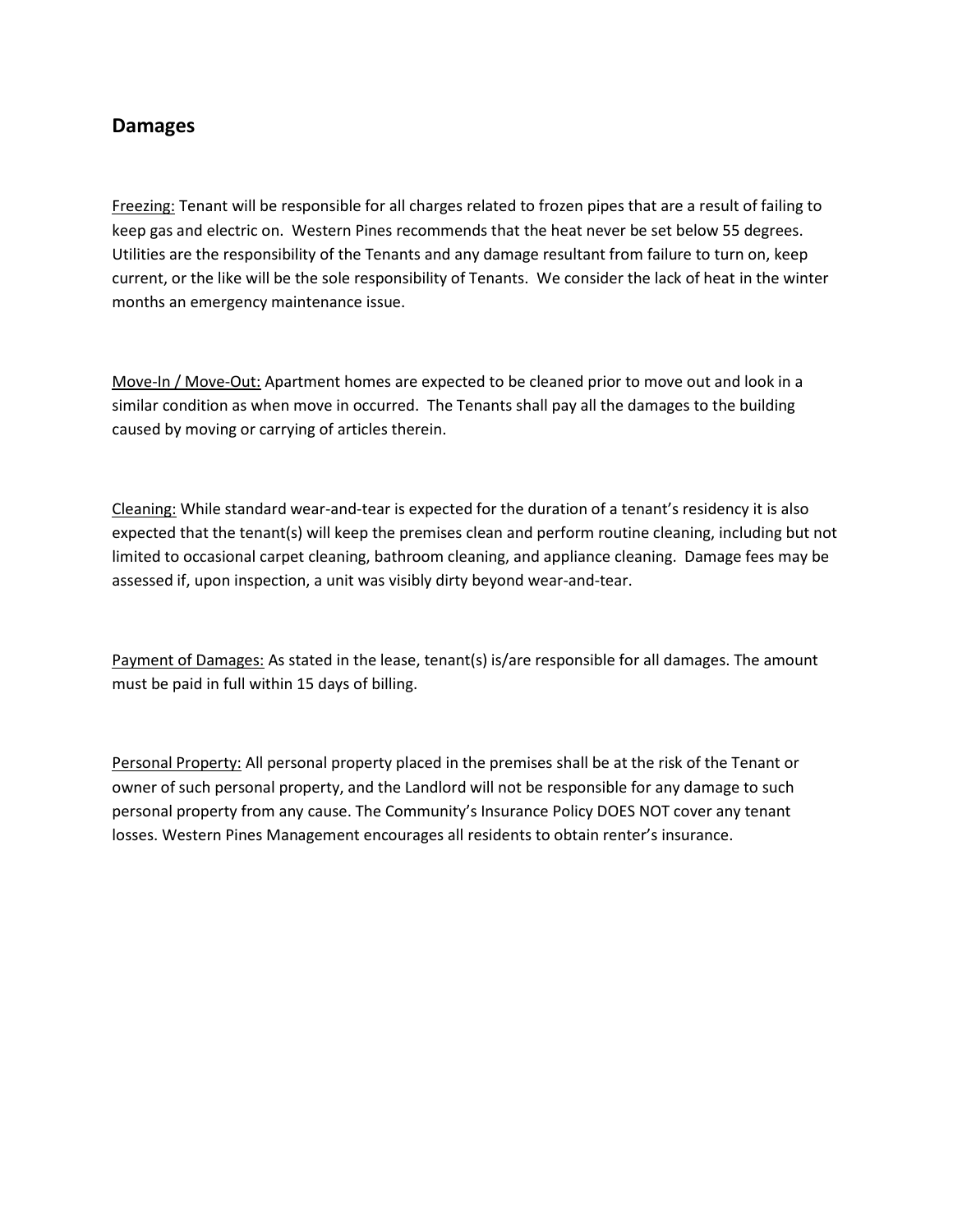### **Damages**

Freezing: Tenant will be responsible for all charges related to frozen pipes that are a result of failing to keep gas and electric on. Western Pines recommends that the heat never be set below 55 degrees. Utilities are the responsibility of the Tenants and any damage resultant from failure to turn on, keep current, or the like will be the sole responsibility of Tenants. We consider the lack of heat in the winter months an emergency maintenance issue.

Move-In / Move-Out: Apartment homes are expected to be cleaned prior to move out and look in a similar condition as when move in occurred. The Tenants shall pay all the damages to the building caused by moving or carrying of articles therein.

Cleaning: While standard wear-and-tear is expected for the duration of a tenant's residency it is also expected that the tenant(s) will keep the premises clean and perform routine cleaning, including but not limited to occasional carpet cleaning, bathroom cleaning, and appliance cleaning. Damage fees may be assessed if, upon inspection, a unit was visibly dirty beyond wear-and-tear.

Payment of Damages: As stated in the lease, tenant(s) is/are responsible for all damages. The amount must be paid in full within 15 days of billing.

Personal Property: All personal property placed in the premises shall be at the risk of the Tenant or owner of such personal property, and the Landlord will not be responsible for any damage to such personal property from any cause. The Community's Insurance Policy DOES NOT cover any tenant losses. Western Pines Management encourages all residents to obtain renter's insurance.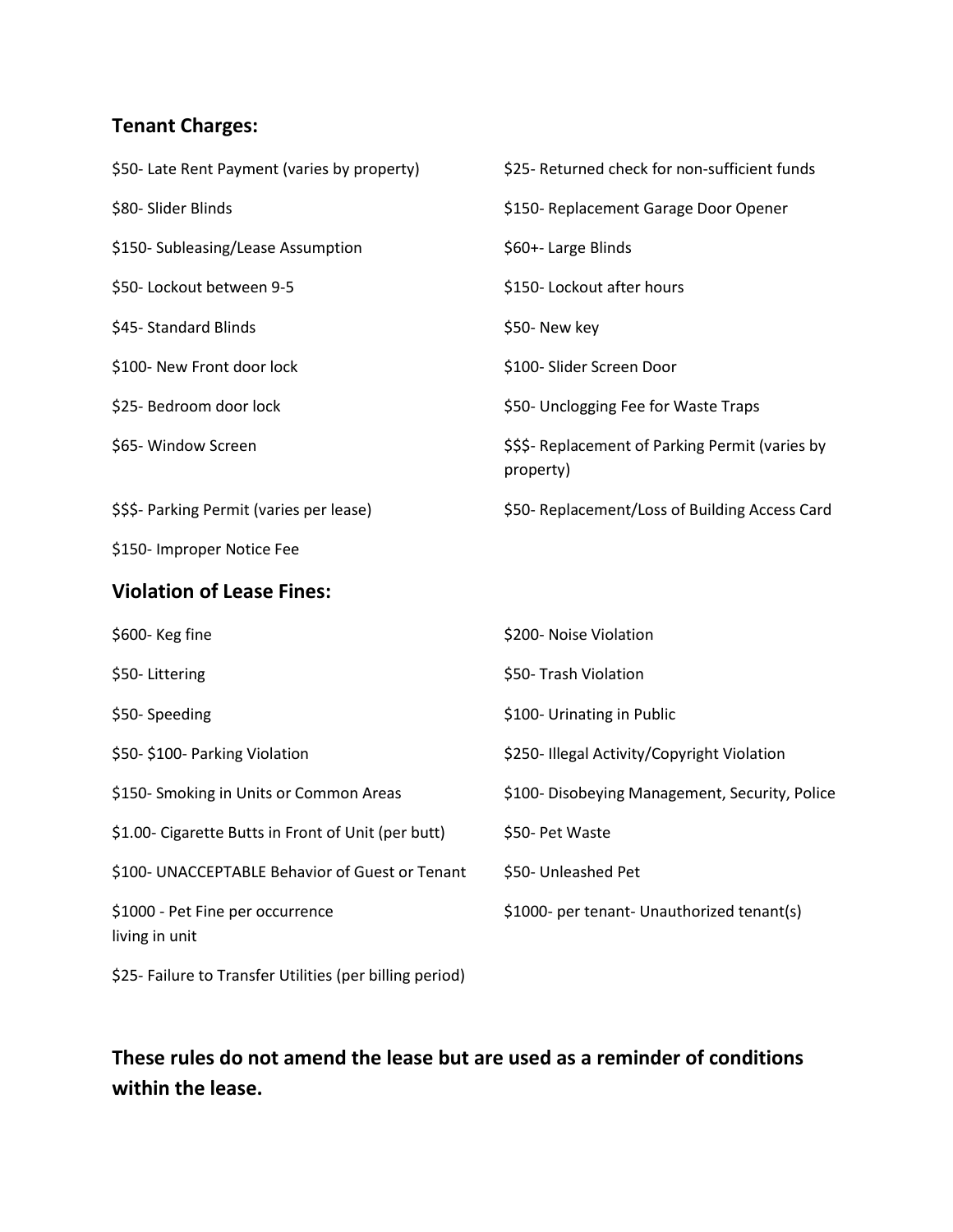## **Tenant Charges:**

| \$50- Late Rent Payment (varies by property)             | \$25- Returned check for non-sufficient funds                 |
|----------------------------------------------------------|---------------------------------------------------------------|
| \$80- Slider Blinds                                      | \$150- Replacement Garage Door Opener                         |
| \$150- Subleasing/Lease Assumption                       | \$60+- Large Blinds                                           |
| \$50- Lockout between 9-5                                | \$150-Lockout after hours                                     |
| \$45-Standard Blinds                                     | \$50- New key                                                 |
| \$100- New Front door lock                               | \$100- Slider Screen Door                                     |
| \$25- Bedroom door lock                                  | \$50- Unclogging Fee for Waste Traps                          |
| \$65- Window Screen                                      | \$\$\$- Replacement of Parking Permit (varies by<br>property) |
| \$\$\$- Parking Permit (varies per lease)                | \$50- Replacement/Loss of Building Access Card                |
| \$150- Improper Notice Fee                               |                                                               |
| <b>Violation of Lease Fines:</b>                         |                                                               |
| \$600-Keg fine                                           | \$200- Noise Violation                                        |
| \$50-Littering                                           | \$50- Trash Violation                                         |
| \$50-Speeding                                            | \$100- Urinating in Public                                    |
| \$50-\$100- Parking Violation                            | \$250- Illegal Activity/Copyright Violation                   |
| \$150- Smoking in Units or Common Areas                  | \$100- Disobeying Management, Security, Police                |
| \$1.00- Cigarette Butts in Front of Unit (per butt)      | \$50- Pet Waste                                               |
| \$100- UNACCEPTABLE Behavior of Guest or Tenant          | \$50- Unleashed Pet                                           |
| \$1000 - Pet Fine per occurrence<br>living in unit       | \$1000- per tenant- Unauthorized tenant(s)                    |
| \$25- Failure to Transfer Utilities (per billing period) |                                                               |

# **These rules do not amend the lease but are used as a reminder of conditions within the lease.**